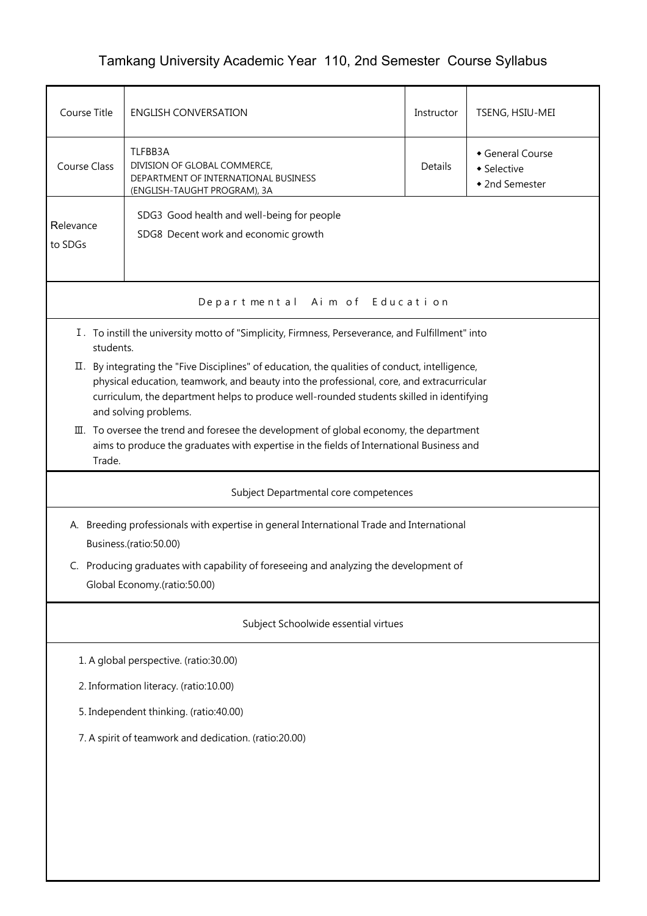## Tamkang University Academic Year 110, 2nd Semester Course Syllabus

| Course Title                                                                                                                                                                                                                                                                                                      | <b>ENGLISH CONVERSATION</b>                                                                                                                                                         | Instructor | TSENG, HSIU-MEI                                 |  |  |  |  |  |
|-------------------------------------------------------------------------------------------------------------------------------------------------------------------------------------------------------------------------------------------------------------------------------------------------------------------|-------------------------------------------------------------------------------------------------------------------------------------------------------------------------------------|------------|-------------------------------------------------|--|--|--|--|--|
| <b>Course Class</b>                                                                                                                                                                                                                                                                                               | TLFBB3A<br>DIVISION OF GLOBAL COMMERCE,<br>DEPARTMENT OF INTERNATIONAL BUSINESS<br>(ENGLISH-TAUGHT PROGRAM), 3A                                                                     | Details    | General Course<br>• Selective<br>◆ 2nd Semester |  |  |  |  |  |
| Relevance<br>to SDGs                                                                                                                                                                                                                                                                                              | SDG3 Good health and well-being for people<br>SDG8 Decent work and economic growth                                                                                                  |            |                                                 |  |  |  |  |  |
|                                                                                                                                                                                                                                                                                                                   | Aim of Education<br>Departmental                                                                                                                                                    |            |                                                 |  |  |  |  |  |
| students.                                                                                                                                                                                                                                                                                                         | I. To instill the university motto of "Simplicity, Firmness, Perseverance, and Fulfillment" into                                                                                    |            |                                                 |  |  |  |  |  |
| II. By integrating the "Five Disciplines" of education, the qualities of conduct, intelligence,<br>physical education, teamwork, and beauty into the professional, core, and extracurricular<br>curriculum, the department helps to produce well-rounded students skilled in identifying<br>and solving problems. |                                                                                                                                                                                     |            |                                                 |  |  |  |  |  |
| Trade.                                                                                                                                                                                                                                                                                                            | III. To oversee the trend and foresee the development of global economy, the department<br>aims to produce the graduates with expertise in the fields of International Business and |            |                                                 |  |  |  |  |  |
|                                                                                                                                                                                                                                                                                                                   | Subject Departmental core competences                                                                                                                                               |            |                                                 |  |  |  |  |  |
| A. Breeding professionals with expertise in general International Trade and International<br>Business.(ratio:50.00)                                                                                                                                                                                               |                                                                                                                                                                                     |            |                                                 |  |  |  |  |  |
| C. Producing graduates with capability of foreseeing and analyzing the development of<br>Global Economy.(ratio:50.00)                                                                                                                                                                                             |                                                                                                                                                                                     |            |                                                 |  |  |  |  |  |
| Subject Schoolwide essential virtues                                                                                                                                                                                                                                                                              |                                                                                                                                                                                     |            |                                                 |  |  |  |  |  |
|                                                                                                                                                                                                                                                                                                                   | 1. A global perspective. (ratio:30.00)                                                                                                                                              |            |                                                 |  |  |  |  |  |
| 2. Information literacy. (ratio:10.00)                                                                                                                                                                                                                                                                            |                                                                                                                                                                                     |            |                                                 |  |  |  |  |  |
| 5. Independent thinking. (ratio:40.00)                                                                                                                                                                                                                                                                            |                                                                                                                                                                                     |            |                                                 |  |  |  |  |  |
| 7. A spirit of teamwork and dedication. (ratio:20.00)                                                                                                                                                                                                                                                             |                                                                                                                                                                                     |            |                                                 |  |  |  |  |  |
|                                                                                                                                                                                                                                                                                                                   |                                                                                                                                                                                     |            |                                                 |  |  |  |  |  |
|                                                                                                                                                                                                                                                                                                                   |                                                                                                                                                                                     |            |                                                 |  |  |  |  |  |
|                                                                                                                                                                                                                                                                                                                   |                                                                                                                                                                                     |            |                                                 |  |  |  |  |  |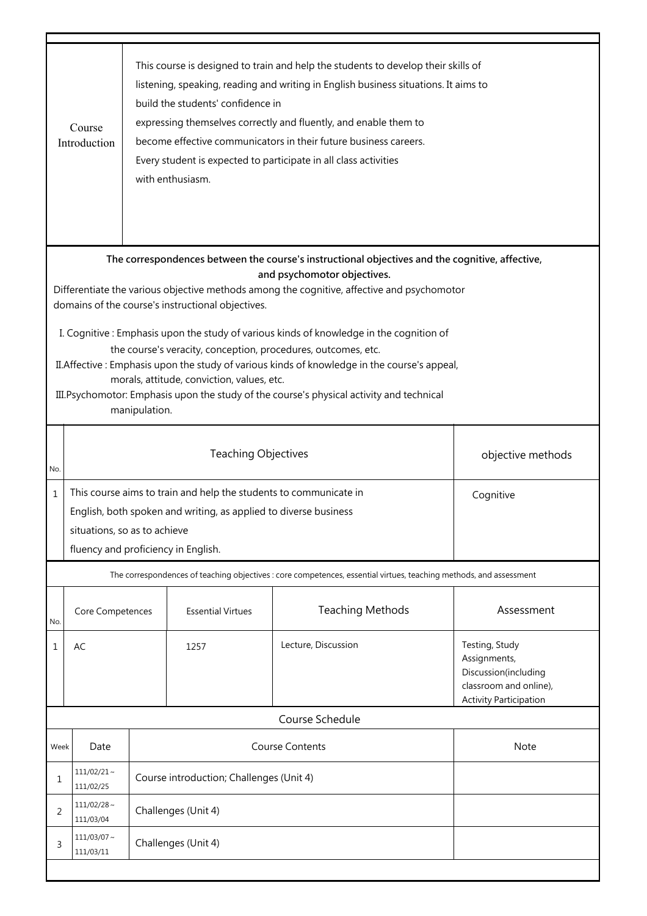|                                                                                                                                                                                                                                                                                                                                                                                                                                               | This course is designed to train and help the students to develop their skills of<br>listening, speaking, reading and writing in English business situations. It aims to<br>build the students' confidence in<br>expressing themselves correctly and fluently, and enable them to<br>Course<br>become effective communicators in their future business careers.<br>Introduction<br>Every student is expected to participate in all class activities<br>with enthusiasm. |                     |                          |                                                                                                                    |                                                                                                                   |  |  |
|-----------------------------------------------------------------------------------------------------------------------------------------------------------------------------------------------------------------------------------------------------------------------------------------------------------------------------------------------------------------------------------------------------------------------------------------------|-------------------------------------------------------------------------------------------------------------------------------------------------------------------------------------------------------------------------------------------------------------------------------------------------------------------------------------------------------------------------------------------------------------------------------------------------------------------------|---------------------|--------------------------|--------------------------------------------------------------------------------------------------------------------|-------------------------------------------------------------------------------------------------------------------|--|--|
| The correspondences between the course's instructional objectives and the cognitive, affective,<br>and psychomotor objectives.<br>Differentiate the various objective methods among the cognitive, affective and psychomotor<br>domains of the course's instructional objectives.<br>I. Cognitive: Emphasis upon the study of various kinds of knowledge in the cognition of<br>the course's veracity, conception, procedures, outcomes, etc. |                                                                                                                                                                                                                                                                                                                                                                                                                                                                         |                     |                          |                                                                                                                    |                                                                                                                   |  |  |
| II. Affective: Emphasis upon the study of various kinds of knowledge in the course's appeal,<br>morals, attitude, conviction, values, etc.<br>III. Psychomotor: Emphasis upon the study of the course's physical activity and technical<br>manipulation.                                                                                                                                                                                      |                                                                                                                                                                                                                                                                                                                                                                                                                                                                         |                     |                          |                                                                                                                    |                                                                                                                   |  |  |
| No.                                                                                                                                                                                                                                                                                                                                                                                                                                           | <b>Teaching Objectives</b>                                                                                                                                                                                                                                                                                                                                                                                                                                              |                     | objective methods        |                                                                                                                    |                                                                                                                   |  |  |
| $\mathbf{1}$                                                                                                                                                                                                                                                                                                                                                                                                                                  | This course aims to train and help the students to communicate in<br>Cognitive<br>English, both spoken and writing, as applied to diverse business<br>situations, so as to achieve<br>fluency and proficiency in English.                                                                                                                                                                                                                                               |                     |                          |                                                                                                                    |                                                                                                                   |  |  |
|                                                                                                                                                                                                                                                                                                                                                                                                                                               |                                                                                                                                                                                                                                                                                                                                                                                                                                                                         |                     |                          | The correspondences of teaching objectives : core competences, essential virtues, teaching methods, and assessment |                                                                                                                   |  |  |
| No.                                                                                                                                                                                                                                                                                                                                                                                                                                           | Core Competences                                                                                                                                                                                                                                                                                                                                                                                                                                                        |                     | <b>Essential Virtues</b> | <b>Teaching Methods</b>                                                                                            | Assessment                                                                                                        |  |  |
| 1                                                                                                                                                                                                                                                                                                                                                                                                                                             | AC                                                                                                                                                                                                                                                                                                                                                                                                                                                                      |                     | 1257                     | Lecture, Discussion                                                                                                | Testing, Study<br>Assignments,<br>Discussion(including<br>classroom and online),<br><b>Activity Participation</b> |  |  |
|                                                                                                                                                                                                                                                                                                                                                                                                                                               | Course Schedule                                                                                                                                                                                                                                                                                                                                                                                                                                                         |                     |                          |                                                                                                                    |                                                                                                                   |  |  |
| Week                                                                                                                                                                                                                                                                                                                                                                                                                                          | Date                                                                                                                                                                                                                                                                                                                                                                                                                                                                    |                     |                          | <b>Course Contents</b>                                                                                             | Note                                                                                                              |  |  |
| $111/02/21$ ~<br>Course introduction; Challenges (Unit 4)<br>1<br>111/02/25                                                                                                                                                                                                                                                                                                                                                                   |                                                                                                                                                                                                                                                                                                                                                                                                                                                                         |                     |                          |                                                                                                                    |                                                                                                                   |  |  |
| 2                                                                                                                                                                                                                                                                                                                                                                                                                                             | $111/02/28$ ~<br>111/03/04                                                                                                                                                                                                                                                                                                                                                                                                                                              | Challenges (Unit 4) |                          |                                                                                                                    |                                                                                                                   |  |  |
| 3                                                                                                                                                                                                                                                                                                                                                                                                                                             | $111/03/07$ ~<br>Challenges (Unit 4)<br>111/03/11                                                                                                                                                                                                                                                                                                                                                                                                                       |                     |                          |                                                                                                                    |                                                                                                                   |  |  |
|                                                                                                                                                                                                                                                                                                                                                                                                                                               |                                                                                                                                                                                                                                                                                                                                                                                                                                                                         |                     |                          |                                                                                                                    |                                                                                                                   |  |  |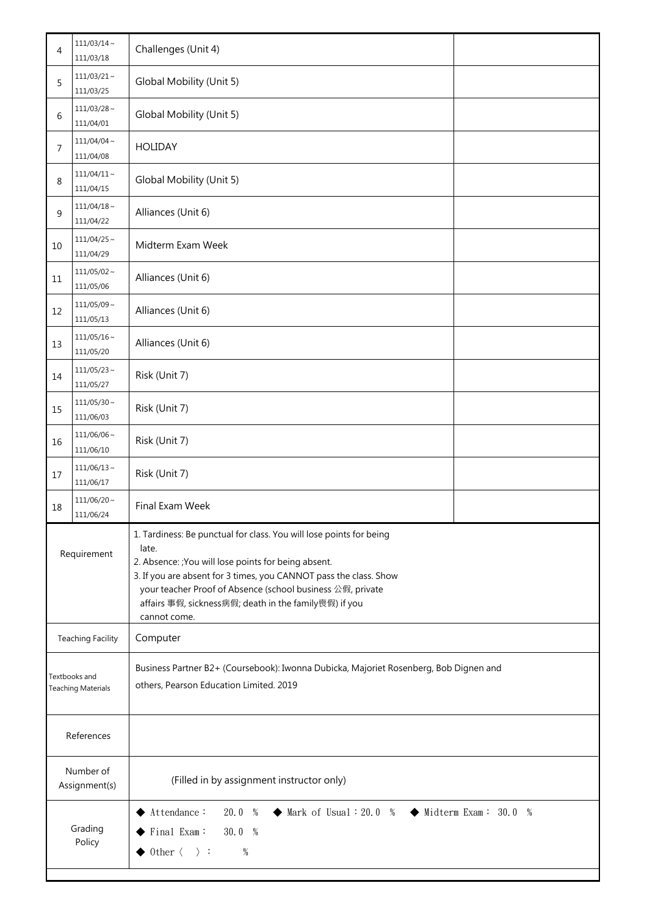| 4                                          | $111/03/14 \sim$<br>111/03/18 | Challenges (Unit 4)                                                                                                                                                                                                                                                                                                                              |  |  |
|--------------------------------------------|-------------------------------|--------------------------------------------------------------------------------------------------------------------------------------------------------------------------------------------------------------------------------------------------------------------------------------------------------------------------------------------------|--|--|
| 5                                          | $111/03/21$ ~<br>111/03/25    | Global Mobility (Unit 5)                                                                                                                                                                                                                                                                                                                         |  |  |
| 6                                          | $111/03/28 \sim$<br>111/04/01 | Global Mobility (Unit 5)                                                                                                                                                                                                                                                                                                                         |  |  |
| 7                                          | $111/04/04 \sim$<br>111/04/08 | <b>HOLIDAY</b>                                                                                                                                                                                                                                                                                                                                   |  |  |
| 8                                          | $111/04/11 \sim$<br>111/04/15 | Global Mobility (Unit 5)                                                                                                                                                                                                                                                                                                                         |  |  |
| 9                                          | $111/04/18$ ~<br>111/04/22    | Alliances (Unit 6)                                                                                                                                                                                                                                                                                                                               |  |  |
| 10                                         | $111/04/25$ ~<br>111/04/29    | Midterm Exam Week                                                                                                                                                                                                                                                                                                                                |  |  |
| 11                                         | $111/05/02 \sim$<br>111/05/06 | Alliances (Unit 6)                                                                                                                                                                                                                                                                                                                               |  |  |
| 12                                         | $111/05/09 \sim$<br>111/05/13 | Alliances (Unit 6)                                                                                                                                                                                                                                                                                                                               |  |  |
| 13                                         | $111/05/16 \sim$<br>111/05/20 | Alliances (Unit 6)                                                                                                                                                                                                                                                                                                                               |  |  |
| 14                                         | $111/05/23$ ~<br>111/05/27    | Risk (Unit 7)                                                                                                                                                                                                                                                                                                                                    |  |  |
| 15                                         | $111/05/30$ ~<br>111/06/03    | Risk (Unit 7)                                                                                                                                                                                                                                                                                                                                    |  |  |
| 16                                         | $111/06/06$ ~<br>111/06/10    | Risk (Unit 7)                                                                                                                                                                                                                                                                                                                                    |  |  |
| 17                                         | $111/06/13 \sim$<br>111/06/17 | Risk (Unit 7)                                                                                                                                                                                                                                                                                                                                    |  |  |
| 18                                         | $111/06/20$ ~<br>111/06/24    | Final Exam Week                                                                                                                                                                                                                                                                                                                                  |  |  |
| Requirement                                |                               | 1. Tardiness: Be punctual for class. You will lose points for being<br>late.<br>2. Absence: ; You will lose points for being absent.<br>3. If you are absent for 3 times, you CANNOT pass the class. Show<br>your teacher Proof of Absence (school business 公假, private<br>affairs 事假, sickness病假; death in the family喪假) if you<br>cannot come. |  |  |
| <b>Teaching Facility</b>                   |                               | Computer                                                                                                                                                                                                                                                                                                                                         |  |  |
| Textbooks and<br><b>Teaching Materials</b> |                               | Business Partner B2+ (Coursebook): Iwonna Dubicka, Majoriet Rosenberg, Bob Dignen and<br>others, Pearson Education Limited. 2019                                                                                                                                                                                                                 |  |  |
| References                                 |                               |                                                                                                                                                                                                                                                                                                                                                  |  |  |
| Number of<br>Assignment(s)                 |                               | (Filled in by assignment instructor only)                                                                                                                                                                                                                                                                                                        |  |  |
| Grading<br>Policy                          |                               | $\blacklozenge$ Mark of Usual : 20.0 %<br>$\blacklozenge$ Midterm Exam: 30.0 %<br>$\blacklozenge$ Attendance:<br>20.0 %<br>$\blacktriangleright$ Final Exam:<br>30.0 %<br>$\rightarrow$ 0ther $\langle \quad \rangle$ :<br>%                                                                                                                     |  |  |